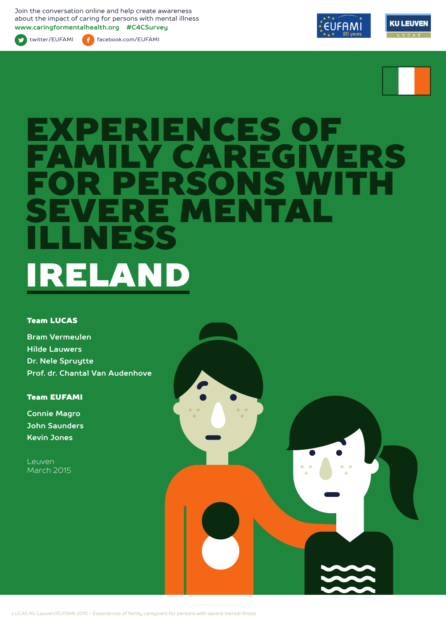Join the conversation online and help create awareness about the impact of caring for persons with mental illness **www.caringformentalhealth.org #C4CSurvey**

twitter/EUFAMI facebook.com/EUFAMI





# EXPERIENCES OF FAMILY CAREGIVERS S WITH<br>Fat E MEN ILLNESS EN ELAN

#### Team LUCAS

**Bram Vermeulen Hilde Lauwers Dr. Nele Spruytte Prof. dr. Chantal Van Audenhove**

Team EUFAMI

**Connie Magro John Saunders Kevin Jones**

Leuven March 2015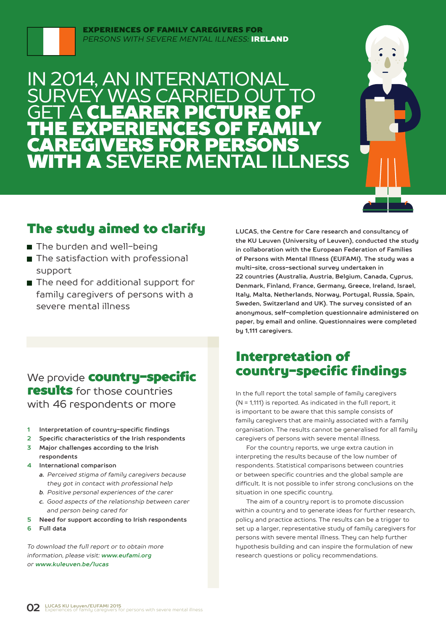

#### EXPERIENCES OF FAMILY CAREGIVERS FOR *PERSONS WITH SEVERE MENTAL ILLNESS:* IRELAND

## IN 2014, AN INTERNATIONAL SURVEY WAS CARRIED OUT TO **GET A CLEARER PICTURE OF** THE EXPERIENCES OF FAMILY CAREGIVERS FOR PERSONS WITH A **SEVERE MENTAL ILLNESS**



## The study aimed to clarify

- The burden and well-being
- The satisfaction with professional support
- The need for additional support for family caregivers of persons with a severe mental illness

## We provide **country-specific** results for those countries with 46 respondents or more

- **1 Interpretation of country-specific findings**
- **2 Specific characteristics of the Irish respondents**
- **3 Major challenges according to the Irish respondents**
- **4 International comparison**
	- *a. Perceived stigma of family caregivers because they got in contact with professional help*
	- *b. Positive personal experiences of the carer*
	- *c. Good aspects of the relationship between carer and person being cared for*
- **5 Need for support according to Irish respondents**
- **6 Full data**

*To download the full report or to obtain more information, please visit: www.eufami.org or www.kuleuven.be/lucas*

**LUCAS, the Centre for Care research and consultancy of the KU Leuven (University of Leuven), conducted the study in collaboration with the European Federation of Families of Persons with Mental Illness (EUFAMI). The study was a multi-site, cross-sectional survey undertaken in 22 countries (Australia, Austria, Belgium, Canada, Cyprus, Denmark, Finland, France, Germany, Greece, Ireland, Israel, Italy, Malta, Netherlands, Norway, Portugal, Russia, Spain, Sweden, Switzerland and UK). The survey consisted of an anonymous, self-completion questionnaire administered on paper, by email and online. Questionnaires were completed by 1,111 caregivers.** 

## Interpretation of country-specific findings

In the full report the total sample of family caregivers (N = 1,111) is reported. As indicated in the full report, it is important to be aware that this sample consists of family caregivers that are mainly associated with a family organisation. The results cannot be generalised for all family caregivers of persons with severe mental illness.

For the country reports, we urge extra caution in interpreting the results because of the low number of respondents. Statistical comparisons between countries or between specific countries and the global sample are difficult. It is not possible to infer strong conclusions on the situation in one specific country.

The aim of a country report is to promote discussion within a country and to generate ideas for further research, policy and practice actions. The results can be a trigger to set up a larger, representative study of family caregivers for persons with severe mental illness. They can help further hypothesis building and can inspire the formulation of new research questions or policy recommendations.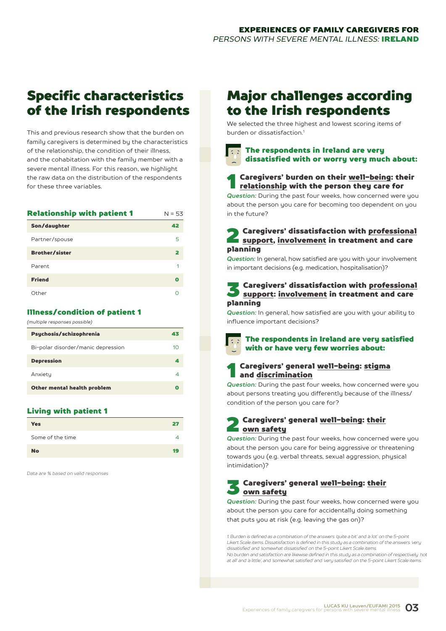## Specific characteristics of the Irish respondents

This and previous research show that the burden on family caregivers is determined by the characteristics of the relationship, the condition of their illness, and the cohabitation with the family member with a severe mental illness. For this reason, we highlight the raw data on the distribution of the respondents for these three variables.

| <b>Relationship with patient 1</b> | $N = 53$ |
|------------------------------------|----------|
| Son/daughter                       | 42       |
| Partner/spouse                     | 5        |
| <b>Brother/sister</b>              | 2        |
| Parent                             | 1        |
| <b>Friend</b>                      | O        |
| Other                              |          |

#### Illness/condition of patient 1

*(multiple responses possible)*

| 43 |
|----|
| 10 |
| А  |
| 4  |
|    |
|    |

#### Living with patient 1

| <b>Yes</b>       | 27 |  |
|------------------|----|--|
| Some of the time |    |  |
| <b>No</b>        | 19 |  |

*Data are % based on valid responses*

## Major challenges according to the Irish respondents

We selected the three highest and lowest scoring items of burden or dissatisfaction<sup>1</sup>

### The respondents in Ireland are very dissatisfied with or worry very much about:

## **1** Caregivers' burden on their <u>well-being</u>: their<br><u>relationship</u> with the person they care for

*Question:* During the past four weeks, how concerned were you about the person you care for becoming too dependent on you in the future?

## **2** Caregivers' dissatisfaction with <u>professional</u><br>support, <u>involvement</u> in treatment and care planning

*Question:* In general, how satisfied are you with your involvement in important decisions (e.g. medication, hospitalisation)?

## Saregivers' dissatisfaction with <u>professional</u><br>Saregional support: <u>involvement</u> in treatment and care planning

*Question:* In general, how satisfied are you with your ability to influence important decisions?

The respondents in Ireland are very satisfied with or have very few worries about:

#### Caregivers' general well-being: stigma and discrimination

**Question:** During the past four weeks, how concerned were you about persons treating you differently because of the illness/ condition of the person you care for?

#### 2 Caregivers' general well-being: their own safety

*Question:* During the past four weeks, how concerned were you about the person you care for being aggressive or threatening towards you (e.g. verbal threats, sexual aggression, physical intimidation)?

### 3 Caregivers' general well-being: their own safety

*Question:* During the past four weeks, how concerned were you about the person you care for accidentally doing something that puts you at risk (e.g. leaving the gas on)?

*1. Burden is defined as a combination of the answers 'quite a bit' and 'a lot' on the 5-point Likert Scale items. Dissatisfaction is defined in this study as a combination of the answers 'very dissatisfied' and 'somewhat dissatisfied' on the 5-point Likert Scale items. No burden and satisfaction are likewise defined in this study as a combination of respectively 'not at all' and 'a little', and 'somewhat satisfied' and 'very satisfied' on the 5-point Likert Scale items.*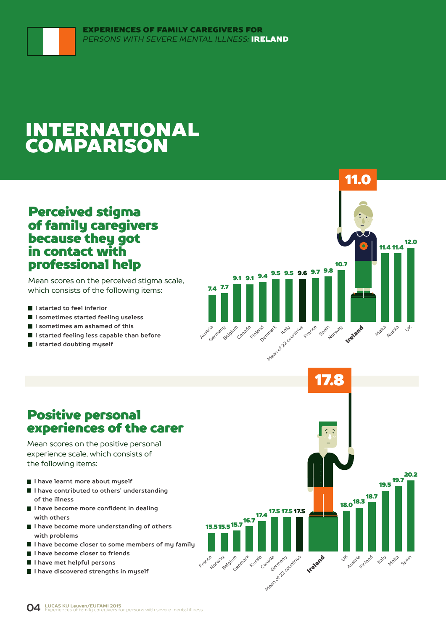## INTERNATIONAL COMPARISON

## Perceived stigma of family caregivers because they got in contact with professional help

Mean scores on the perceived stigma scale, which consists of the following items:

- **I started to feel inferior**
- **I sometimes started feeling useless**
- **I sometimes am ashamed of this**
- **I started feeling less capable than before**
- **I started doubting myself**



## Positive personal experiences of the carer

Mean scores on the positive personal experience scale, which consists of the following items:

- **I have learnt more about myself**
- **I have contributed to others' understanding of the illness**
- **I have become more confident in dealing with others**
- **I have become more understanding of others with problems**
- **I have become closer to some members of my family**
- **I have become closer to friends**
- **I have met helpful persons**
- **I have discovered strengths in myself**

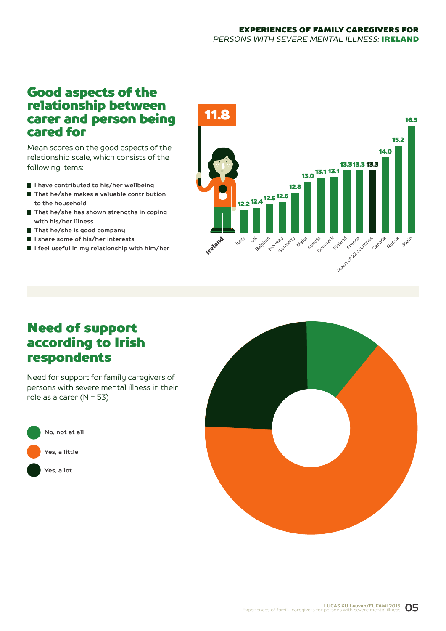## Good aspects of the relationship between carer and person being cared for

Mean scores on the good aspects of the relationship scale, which consists of the following items:

- **I have contributed to his/her wellbeing**
- That he/she makes a valuable contribution **to the household**
- **That he/she has shown strengths in coping with his/her illness**
- **That he/she is good company**
- **I share some of his/her interests**
- **I feel useful in my relationship with him/her**



## Need of support according to Irish respondents

Need for support for family caregivers of persons with severe mental illness in their role as a carer (N = 53)



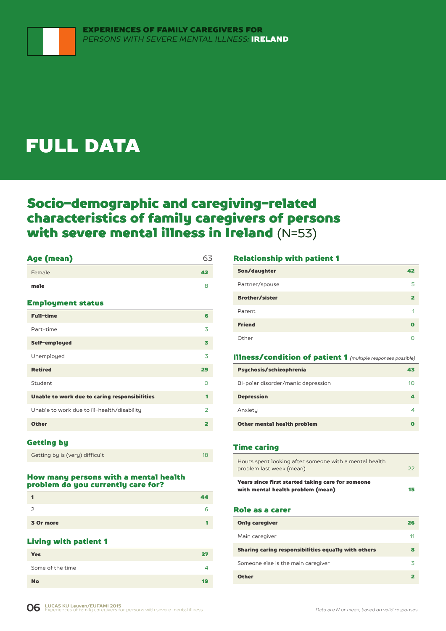## FULL DATA

## Socio-demographic and caregiving-related characteristics of family caregivers of persons with severe mental illness in Ireland (N=53)

### Age (mean) 63

| Female                                        | 42                      |
|-----------------------------------------------|-------------------------|
| male                                          | 8                       |
| <b>Employment status</b>                      |                         |
| <b>Full-time</b>                              | 6                       |
| Part-time                                     | 3                       |
| Self-employed                                 | з                       |
| Unemployed                                    | 3                       |
| <b>Retired</b>                                | 29                      |
| Student                                       | $\Omega$                |
| Unable to work due to caring responsibilities | 1                       |
| Unable to work due to ill-health/disability   | $\overline{2}$          |
| <b>Other</b>                                  | $\overline{\mathbf{2}}$ |
|                                               |                         |

#### Getting by

| Getting by is (very) difficult |  |
|--------------------------------|--|

#### How many persons with a mental health problem do you currently care for?

|           | 44 |
|-----------|----|
| -         | 6  |
| 3 Or more |    |

#### Living with patient 1

| <b>Yes</b>       | •`∎ |
|------------------|-----|
| Some of the time |     |
| <b>No</b>        | 19  |

#### Relationship with patient 1

| Son/daughter          | 42 |
|-----------------------|----|
| Partner/spouse        | 5  |
| <b>Brother/sister</b> |    |
| Parent                | 1  |
| <b>Friend</b>         | Ω  |
| Other                 |    |

#### Illness/condition of patient 1 *(multiple responses possible)*

| Psychosis/schizophrenia            | 43 |
|------------------------------------|----|
| Bi-polar disorder/manic depression | 10 |
| <b>Depression</b>                  |    |
| Anxiety                            |    |
| Other mental health problem        |    |

#### Time caring

| Hours spent looking after someone with a mental health<br>problem last week (mean)     | $\mathcal{D}$ |
|----------------------------------------------------------------------------------------|---------------|
| Years since first started taking care for someone<br>with mental health problem (mean) | 15            |

#### Role as a carer

| <b>Only caregiver</b>                               | 26 |
|-----------------------------------------------------|----|
| Main caregiver                                      | 11 |
| Sharing caring responsibilities equally with others | 鲁  |
| Someone else is the main caregiver                  | 3  |
| <b>Other</b>                                        |    |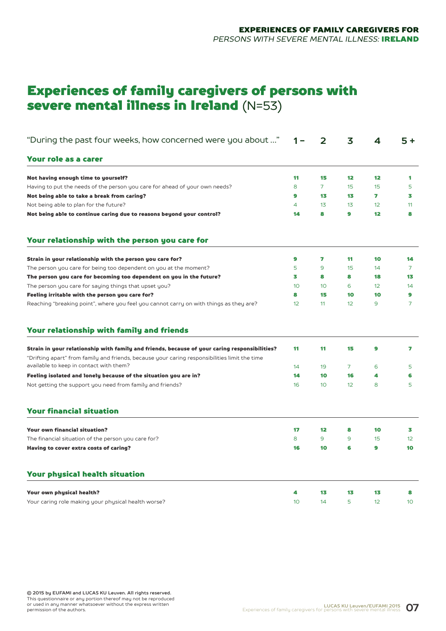## Experiences of family caregivers of persons with severe mental illness in Ireland (N=53)

| "During the past four weeks, how concerned were you about "                                                                                                                                    | 1 – | 2               | 3              | 4  | $5+$            |
|------------------------------------------------------------------------------------------------------------------------------------------------------------------------------------------------|-----|-----------------|----------------|----|-----------------|
| Your role as a carer                                                                                                                                                                           |     |                 |                |    |                 |
| Not having enough time to yourself?                                                                                                                                                            | 11  | 15              | 12             | 12 | 1               |
| Having to put the needs of the person you care for ahead of your own needs?                                                                                                                    | 8   | 7               | 15             | 15 | 5               |
| Not being able to take a break from caring?                                                                                                                                                    | 9   | 13              | 13             | 7  | 3               |
| Not being able to plan for the future?                                                                                                                                                         | 4   | 1 <sub>3</sub>  | 13             | 12 | 11              |
| Not being able to continue caring due to reasons beyond your control?                                                                                                                          | 14  | 8               | 9              | 12 | 8               |
| Your relationship with the person you care for                                                                                                                                                 |     |                 |                |    |                 |
| Strain in your relationship with the person you care for?                                                                                                                                      | 9   | 7               | 11             | 10 | 14              |
| The person you care for being too dependent on you at the moment?                                                                                                                              | 5   | 9               | 15             | 14 | $\overline{7}$  |
| The person you care for becoming too dependent on you in the future?                                                                                                                           | 3   | 8               | 8              | 18 | 13              |
| The person you care for saying things that upset you?                                                                                                                                          | 10  | 10 <sup>°</sup> | 6              | 12 | 14              |
| Feeling irritable with the person you care for?                                                                                                                                                | 8   | 15              | 10             | 10 | 9               |
| Reaching "breaking point", where you feel you cannot carry on with things as they are?                                                                                                         | 12  | 11              | 12             | 9  | 7               |
| Your relationship with family and friends                                                                                                                                                      |     |                 |                |    |                 |
| Strain in your relationship with family and friends, because of your caring responsibilities?<br>"Drifting apart" from family and friends, because your caring responsibilities limit the time | 11  | 11              | 15             | 9  | 7               |
| available to keep in contact with them?                                                                                                                                                        | 14  | 19              | $\overline{7}$ | 6  | 5               |
| Feeling isolated and lonely because of the situation you are in?                                                                                                                               | 14  | 10              | 16             | 4  | 6               |
| Not getting the support you need from family and friends?                                                                                                                                      | 16  | 10 <sup>°</sup> | 12             | 8  | 5               |
| <b>Your financial situation</b>                                                                                                                                                                |     |                 |                |    |                 |
| <b>Your own financial situation?</b>                                                                                                                                                           | 17  | $12 \,$         | 8              | 10 | 3               |
| The financial situation of the person you care for?                                                                                                                                            | 8   | 9               | 9              | 15 | 12 <sup>°</sup> |
| Having to cover extra costs of caring?                                                                                                                                                         | 16  | 10              | 6              | 9  | 10              |
| <b>Your physical health situation</b>                                                                                                                                                          |     |                 |                |    |                 |
| Your own physical health?                                                                                                                                                                      | 4   | 13              | 13             | 13 | 8               |
| Your caring role making your physical health worse?                                                                                                                                            | 10  | 14              | 5              | 12 | 10 <sup>°</sup> |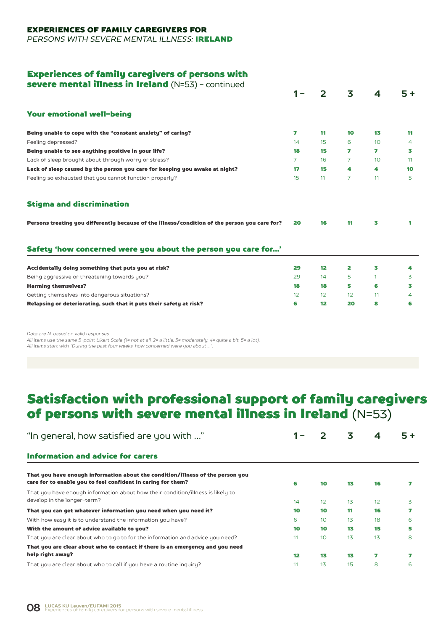#### EXPERIENCES OF FAMILY CAREGIVERS FOR

*PERSONS WITH SEVERE MENTAL ILLNESS:* IRELAND

#### Experiences of family caregivers of persons with

|                                                                                               |    | 2               | 3                 | 4                       | $5+$ |
|-----------------------------------------------------------------------------------------------|----|-----------------|-------------------|-------------------------|------|
|                                                                                               |    |                 |                   |                         |      |
| <b>Your emotional well-being</b>                                                              |    |                 |                   |                         |      |
| Being unable to cope with the "constant anxiety" of caring?                                   | 7  | 11              | 10                | 13                      | 11   |
| Feeling depressed?                                                                            | 14 | 15              | 6                 | 10 <sup>°</sup>         | 4    |
| Being unable to see anything positive in your life?                                           | 18 | 15              | 7                 | $\overline{\mathbf{z}}$ | 3    |
| Lack of sleep brought about through worry or stress?                                          | 7  | 16              | 7                 | 10 <sup>°</sup>         | 11   |
| Lack of sleep caused by the person you care for keeping you awake at night?                   | 17 | 15              | 4                 | 4                       | 10   |
| Feeling so exhausted that you cannot function properly?                                       | 15 | 11              | $\overline{7}$    | 11                      | 5    |
| <b>Stigma and discrimination</b>                                                              |    |                 |                   |                         |      |
| Persons treating you differently because of the illness/condition of the person you care for? | 20 | 16              | 11                | 3                       | 1    |
|                                                                                               |    |                 |                   |                         |      |
| Safety 'how concerned were you about the person you care for'                                 |    |                 |                   |                         |      |
| Accidentally doing something that puts you at risk?                                           | 29 | 12 <sup>2</sup> | 2                 | з                       | 4    |
| Being aggressive or threatening towards you?                                                  | 29 | 14              | 5                 | 1                       | 3    |
| <b>Harming themselves?</b>                                                                    | 18 | 18              | 5                 | 6                       | 3    |
| Getting themselves into dangerous situations?                                                 | 12 | 12              | $12 \overline{ }$ | 11                      | 4    |

*Data are N, based on valid responses.*

*All items use the same 5-point Likert Scale (1= not at all, 2= a little, 3= moderately, 4= quite a bit, 5= a lot). All items start with "During the past four weeks, how concerned were you about …".*

## Satisfaction with professional support of family caregivers of persons with severe mental illness in Ireland (N=53)

| "In general, how satisfied are you with "                                                                                                      |    |    | 3  | 4  | $5+$ |
|------------------------------------------------------------------------------------------------------------------------------------------------|----|----|----|----|------|
| <b>Information and advice for carers</b>                                                                                                       |    |    |    |    |      |
| That you have enough information about the condition/illness of the person you<br>care for to enable you to feel confident in caring for them? | 6  | 10 | 13 | 16 |      |
| That you have enough information about how their condition/illness is likely to<br>develop in the longer-term?                                 | 14 | 12 | 13 | 12 | 3    |
| That you can get whatever information you need when you need it?                                                                               | 10 | 10 | 11 | 16 |      |
| With how easy it is to understand the information you have?                                                                                    | 6  | 10 | 13 | 18 | 6    |
| With the amount of advice available to you?                                                                                                    | 10 | 10 | 13 | 15 | 5    |
| That you are clear about who to go to for the information and advice you need?                                                                 | 11 | 10 | 13 | 13 | 8    |
| That you are clear about who to contact if there is an emergency and you need                                                                  |    |    |    |    |      |
| help right away?                                                                                                                               | 12 | 13 | 13 | 7  |      |
| That you are clear about who to call if you have a routine inquiry?                                                                            | 11 | 13 | 15 | 8  | 6    |